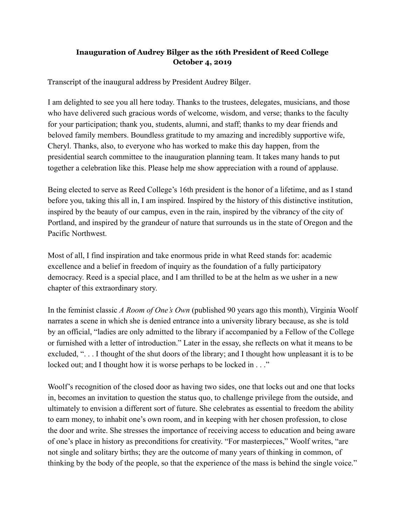## **Inauguration of Audrey Bilger as the 16th President of Reed College October 4, 2019**

Transcript of the inaugural address by President Audrey Bilger.

I am delighted to see you all here today. Thanks to the trustees, delegates, musicians, and those who have delivered such gracious words of welcome, wisdom, and verse; thanks to the faculty for your participation; thank you, students, alumni, and staff; thanks to my dear friends and beloved family members. Boundless gratitude to my amazing and incredibly supportive wife, Cheryl. Thanks, also, to everyone who has worked to make this day happen, from the presidential search committee to the inauguration planning team. It takes many hands to put together a celebration like this. Please help me show appreciation with a round of applause.

Being elected to serve as Reed College's 16th president is the honor of a lifetime, and as I stand before you, taking this all in, I am inspired. Inspired by the history of this distinctive institution, inspired by the beauty of our campus, even in the rain, inspired by the vibrancy of the city of Portland, and inspired by the grandeur of nature that surrounds us in the state of Oregon and the Pacific Northwest.

Most of all, I find inspiration and take enormous pride in what Reed stands for: academic excellence and a belief in freedom of inquiry as the foundation of a fully participatory democracy. Reed is a special place, and I am thrilled to be at the helm as we usher in a new chapter of this extraordinary story.

In the feminist classic *A Room of One's Own* (published 90 years ago this month), Virginia Woolf narrates a scene in which she is denied entrance into a university library because, as she is told by an official, "ladies are only admitted to the library if accompanied by a Fellow of the College or furnished with a letter of introduction." Later in the essay, she reflects on what it means to be excluded, ". . . I thought of the shut doors of the library; and I thought how unpleasant it is to be locked out; and I thought how it is worse perhaps to be locked in . . ."

Woolf's recognition of the closed door as having two sides, one that locks out and one that locks in, becomes an invitation to question the status quo, to challenge privilege from the outside, and ultimately to envision a different sort of future. She celebrates as essential to freedom the ability to earn money, to inhabit one's own room, and in keeping with her chosen profession, to close the door and write. She stresses the importance of receiving access to education and being aware of one's place in history as preconditions for creativity. "For masterpieces," Woolf writes, "are not single and solitary births; they are the outcome of many years of thinking in common, of thinking by the body of the people, so that the experience of the mass is behind the single voice."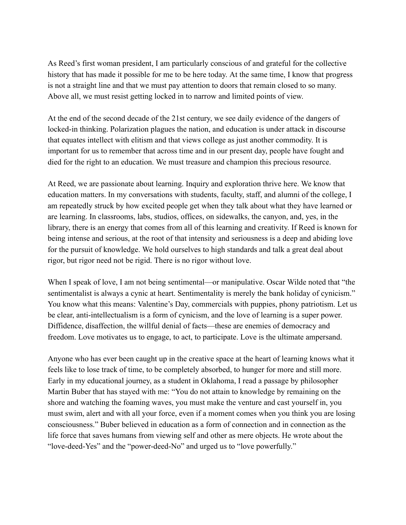As Reed's first woman president, I am particularly conscious of and grateful for the collective history that has made it possible for me to be here today. At the same time, I know that progress is not a straight line and that we must pay attention to doors that remain closed to so many. Above all, we must resist getting locked in to narrow and limited points of view.

At the end of the second decade of the 21st century, we see daily evidence of the dangers of locked-in thinking. Polarization plagues the nation, and education is under attack in discourse that equates intellect with elitism and that views college as just another commodity. It is important for us to remember that across time and in our present day, people have fought and died for the right to an education. We must treasure and champion this precious resource.

At Reed, we are passionate about learning. Inquiry and exploration thrive here. We know that education matters. In my conversations with students, faculty, staff, and alumni of the college, I am repeatedly struck by how excited people get when they talk about what they have learned or are learning. In classrooms, labs, studios, offices, on sidewalks, the canyon, and, yes, in the library, there is an energy that comes from all of this learning and creativity. If Reed is known for being intense and serious, at the root of that intensity and seriousness is a deep and abiding love for the pursuit of knowledge. We hold ourselves to high standards and talk a great deal about rigor, but rigor need not be rigid. There is no rigor without love.

When I speak of love, I am not being sentimental—or manipulative. Oscar Wilde noted that "the sentimentalist is always a cynic at heart. Sentimentality is merely the bank holiday of cynicism." You know what this means: Valentine's Day, commercials with puppies, phony patriotism. Let us be clear, anti-intellectualism is a form of cynicism, and the love of learning is a super power. Diffidence, disaffection, the willful denial of facts—these are enemies of democracy and freedom. Love motivates us to engage, to act, to participate. Love is the ultimate ampersand.

Anyone who has ever been caught up in the creative space at the heart of learning knows what it feels like to lose track of time, to be completely absorbed, to hunger for more and still more. Early in my educational journey, as a student in Oklahoma, I read a passage by philosopher Martin Buber that has stayed with me: "You do not attain to knowledge by remaining on the shore and watching the foaming waves, you must make the venture and cast yourself in, you must swim, alert and with all your force, even if a moment comes when you think you are losing consciousness." Buber believed in education as a form of connection and in connection as the life force that saves humans from viewing self and other as mere objects. He wrote about the "love-deed-Yes" and the "power-deed-No" and urged us to "love powerfully."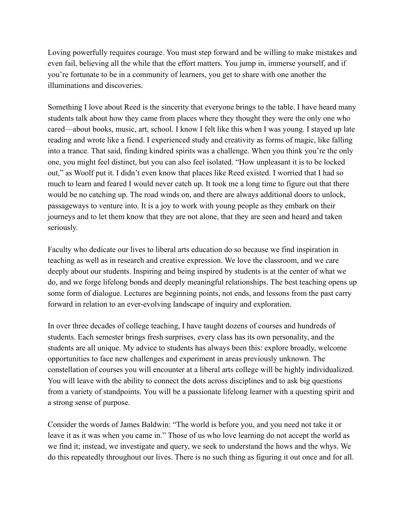Loving powerfully requires courage. You must step forward and be willing to make mistakes and even fail, believing all the while that the effort matters. You jump in, immerse yourself, and if you're fortunate to be in a community of learners, you get to share with one another the illuminations and discoveries.

Something I love about Reed is the sincerity that everyone brings to the table. I have heard many students talk about how they came from places where they thought they were the only one who cared—about books, music, art, school. I know I felt like this when I was young. I stayed up late reading and wrote like a fiend. I experienced study and creativity as forms of magic, like falling into a trance. That said, finding kindred spirits was a challenge. When you think you're the only one, you might feel distinct, but you can also feel isolated. "How unpleasant it is to be locked out," as Woolf put it. I didn't even know that places like Reed existed. I worried that I had so much to learn and feared I would never catch up. It took me a long time to figure out that there would be no catching up. The road winds on, and there are always additional doors to unlock, passageways to venture into. It is a joy to work with young people as they embark on their journeys and to let them know that they are not alone, that they are seen and heard and taken seriously.

Faculty who dedicate our lives to liberal arts education do so because we find inspiration in teaching as well as in research and creative expression. We love the classroom, and we care deeply about our students. Inspiring and being inspired by students is at the center of what we do, and we forge lifelong bonds and deeply meaningful relationships. The best teaching opens up some form of dialogue. Lectures are beginning points, not ends, and lessons from the past carry forward in relation to an ever-evolving landscape of inquiry and exploration.

In over three decades of college teaching, I have taught dozens of courses and hundreds of students. Each semester brings fresh surprises, every class has its own personality, and the students are all unique. My advice to students has always been this: explore broadly, welcome opportunities to face new challenges and experiment in areas previously unknown. The constellation of courses you will encounter at a liberal arts college will be highly individualized. You will leave with the ability to connect the dots across disciplines and to ask big questions from a variety of standpoints. You will be a passionate lifelong learner with a questing spirit and a strong sense of purpose.

Consider the words of James Baldwin: "The world is before you, and you need not take it or leave it as it was when you came in." Those of us who love learning do not accept the world as we find it; instead, we investigate and query, we seek to understand the hows and the whys. We do this repeatedly throughout our lives. There is no such thing as figuring it out once and for all.